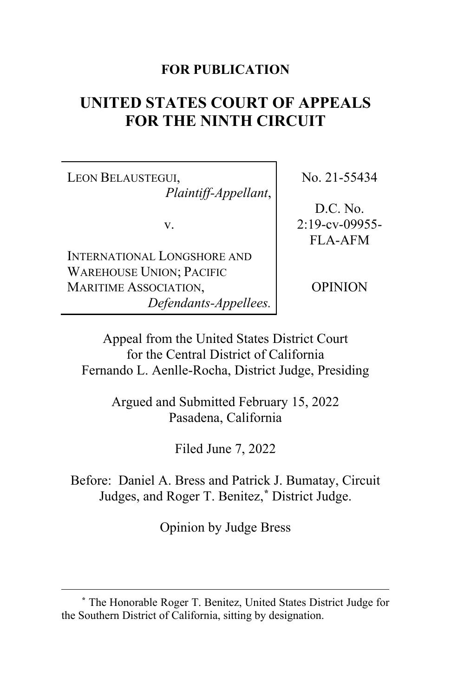# **FOR PUBLICATION**

# **UNITED STATES COURT OF APPEALS FOR THE NINTH CIRCUIT**

LEON BELAUSTEGUI, *Plaintiff-Appellant*,

v.

INTERNATIONAL LONGSHORE AND WAREHOUSE UNION; PACIFIC MARITIME ASSOCIATION, *Defendants-Appellees.* No. 21-55434

D.C. No. 2:19-cv-09955- FLA-AFM

OPINION

Appeal from the United States District Court for the Central District of California Fernando L. Aenlle-Rocha, District Judge, Presiding

> Argued and Submitted February 15, 2022 Pasadena, California

> > Filed June 7, 2022

Before: Daniel A. Bress and Patrick J. Bumatay, Circuit Judges, and Roger T. Benitez,**[\\*](#page-0-0)** District Judge.

Opinion by Judge Bress

<span id="page-0-0"></span>**<sup>\*</sup>** The Honorable Roger T. Benitez, United States District Judge for the Southern District of California, sitting by designation.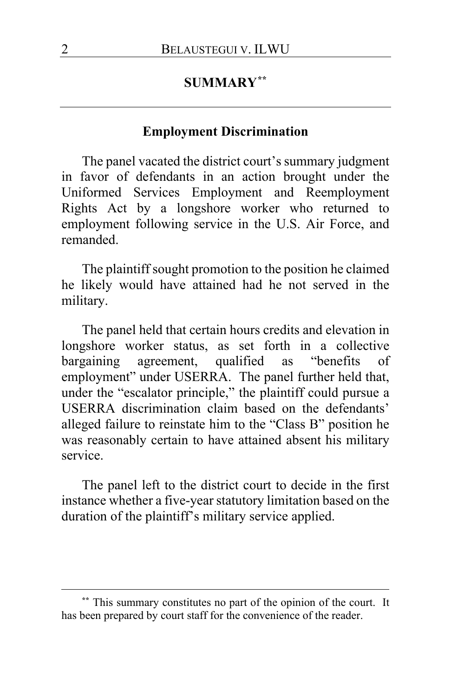# **SUMMARY[\\*\\*](#page-1-0)**

## **Employment Discrimination**

The panel vacated the district court's summary judgment in favor of defendants in an action brought under the Uniformed Services Employment and Reemployment Rights Act by a longshore worker who returned to employment following service in the U.S. Air Force, and remanded.

The plaintiff sought promotion to the position he claimed he likely would have attained had he not served in the military.

The panel held that certain hours credits and elevation in longshore worker status, as set forth in a collective bargaining agreement, qualified as "benefits of employment" under USERRA. The panel further held that, under the "escalator principle," the plaintiff could pursue a USERRA discrimination claim based on the defendants' alleged failure to reinstate him to the "Class B" position he was reasonably certain to have attained absent his military service.

The panel left to the district court to decide in the first instance whether a five-year statutory limitation based on the duration of the plaintiff's military service applied.

<span id="page-1-0"></span>**<sup>\*\*</sup>** This summary constitutes no part of the opinion of the court. It has been prepared by court staff for the convenience of the reader.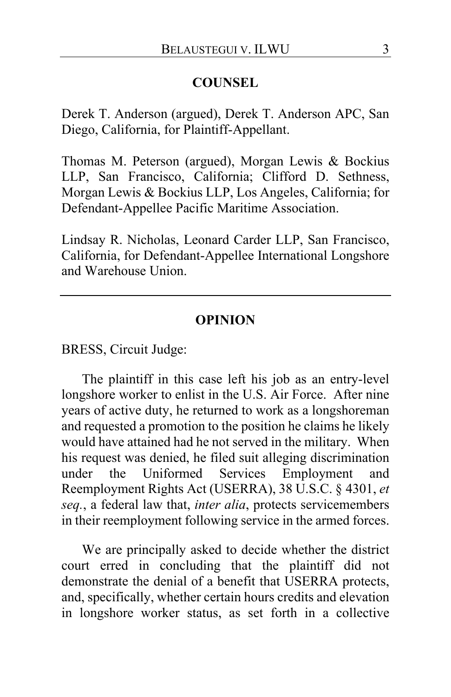### **COUNSEL**

Derek T. Anderson (argued), Derek T. Anderson APC, San Diego, California, for Plaintiff-Appellant.

Thomas M. Peterson (argued), Morgan Lewis & Bockius LLP, San Francisco, California; Clifford D. Sethness, Morgan Lewis & Bockius LLP, Los Angeles, California; for Defendant-Appellee Pacific Maritime Association.

Lindsay R. Nicholas, Leonard Carder LLP, San Francisco, California, for Defendant-Appellee International Longshore and Warehouse Union.

### **OPINION**

BRESS, Circuit Judge:

The plaintiff in this case left his job as an entry-level longshore worker to enlist in the U.S. Air Force. After nine years of active duty, he returned to work as a longshoreman and requested a promotion to the position he claims he likely would have attained had he not served in the military. When his request was denied, he filed suit alleging discrimination under the Uniformed Services Employment and Reemployment Rights Act (USERRA), 38 U.S.C. § 4301, *et seq.*, a federal law that, *inter alia*, protects servicemembers in their reemployment following service in the armed forces.

We are principally asked to decide whether the district court erred in concluding that the plaintiff did not demonstrate the denial of a benefit that USERRA protects, and, specifically, whether certain hours credits and elevation in longshore worker status, as set forth in a collective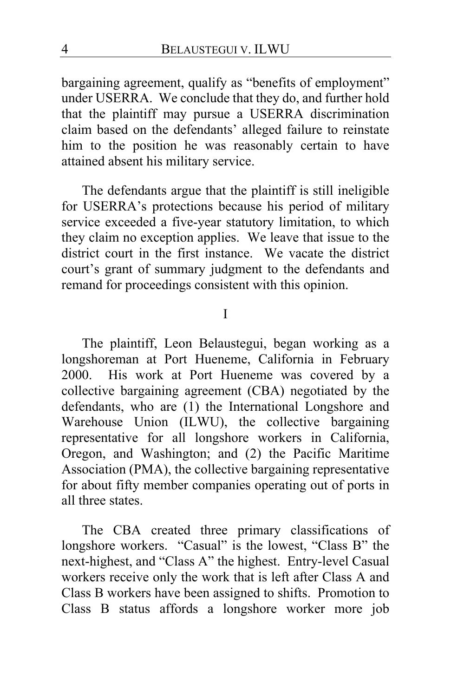bargaining agreement, qualify as "benefits of employment" under USERRA. We conclude that they do, and further hold that the plaintiff may pursue a USERRA discrimination claim based on the defendants' alleged failure to reinstate him to the position he was reasonably certain to have attained absent his military service.

The defendants argue that the plaintiff is still ineligible for USERRA's protections because his period of military service exceeded a five-year statutory limitation, to which they claim no exception applies. We leave that issue to the district court in the first instance. We vacate the district court's grant of summary judgment to the defendants and remand for proceedings consistent with this opinion.

I

The plaintiff, Leon Belaustegui, began working as a longshoreman at Port Hueneme, California in February 2000. His work at Port Hueneme was covered by a collective bargaining agreement (CBA) negotiated by the defendants, who are (1) the International Longshore and Warehouse Union (ILWU), the collective bargaining representative for all longshore workers in California, Oregon, and Washington; and (2) the Pacific Maritime Association (PMA), the collective bargaining representative for about fifty member companies operating out of ports in all three states.

The CBA created three primary classifications of longshore workers. "Casual" is the lowest, "Class B" the next-highest, and "Class A" the highest. Entry-level Casual workers receive only the work that is left after Class A and Class B workers have been assigned to shifts. Promotion to Class B status affords a longshore worker more job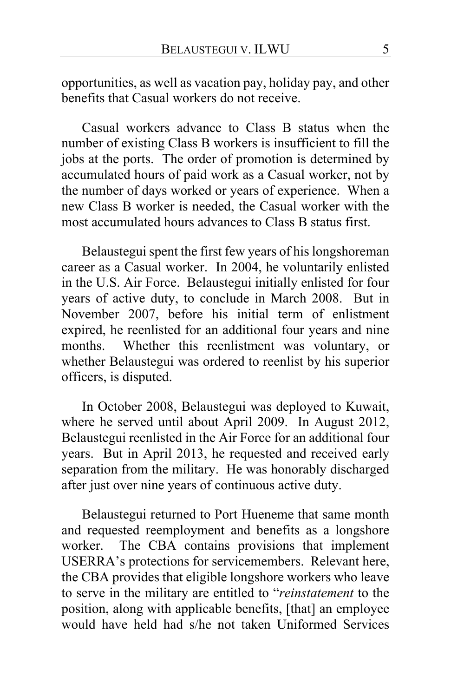opportunities, as well as vacation pay, holiday pay, and other benefits that Casual workers do not receive.

Casual workers advance to Class B status when the number of existing Class B workers is insufficient to fill the jobs at the ports. The order of promotion is determined by accumulated hours of paid work as a Casual worker, not by the number of days worked or years of experience. When a new Class B worker is needed, the Casual worker with the most accumulated hours advances to Class B status first.

Belaustegui spent the first few years of his longshoreman career as a Casual worker. In 2004, he voluntarily enlisted in the U.S. Air Force. Belaustegui initially enlisted for four years of active duty, to conclude in March 2008. But in November 2007, before his initial term of enlistment expired, he reenlisted for an additional four years and nine months. Whether this reenlistment was voluntary, or whether Belaustegui was ordered to reenlist by his superior officers, is disputed.

In October 2008, Belaustegui was deployed to Kuwait, where he served until about April 2009. In August 2012, Belaustegui reenlisted in the Air Force for an additional four years. But in April 2013, he requested and received early separation from the military. He was honorably discharged after just over nine years of continuous active duty.

Belaustegui returned to Port Hueneme that same month and requested reemployment and benefits as a longshore worker. The CBA contains provisions that implement USERRA's protections for servicemembers. Relevant here, the CBA provides that eligible longshore workers who leave to serve in the military are entitled to "*reinstatement* to the position, along with applicable benefits, [that] an employee would have held had s/he not taken Uniformed Services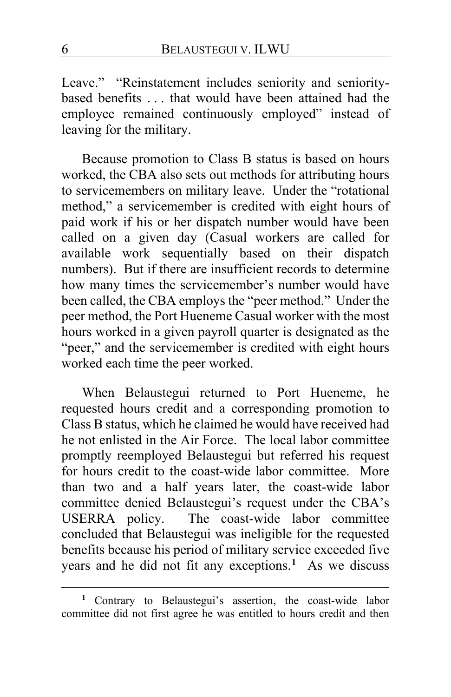Leave." "Reinstatement includes seniority and senioritybased benefits . . . that would have been attained had the employee remained continuously employed" instead of leaving for the military.

Because promotion to Class B status is based on hours worked, the CBA also sets out methods for attributing hours to servicemembers on military leave. Under the "rotational method," a servicemember is credited with eight hours of paid work if his or her dispatch number would have been called on a given day (Casual workers are called for available work sequentially based on their dispatch numbers). But if there are insufficient records to determine how many times the servicemember's number would have been called, the CBA employs the "peer method." Under the peer method, the Port Hueneme Casual worker with the most hours worked in a given payroll quarter is designated as the "peer," and the servicemember is credited with eight hours worked each time the peer worked.

When Belaustegui returned to Port Hueneme, he requested hours credit and a corresponding promotion to Class B status, which he claimed he would have received had he not enlisted in the Air Force. The local labor committee promptly reemployed Belaustegui but referred his request for hours credit to the coast-wide labor committee. More than two and a half years later, the coast-wide labor committee denied Belaustegui's request under the CBA's USERRA policy. The coast-wide labor committee concluded that Belaustegui was ineligible for the requested benefits because his period of military service exceeded five years and he did not fit any exceptions.**[1](#page-5-0)** As we discuss

<span id="page-5-0"></span>**<sup>1</sup>** Contrary to Belaustegui's assertion, the coast-wide labor committee did not first agree he was entitled to hours credit and then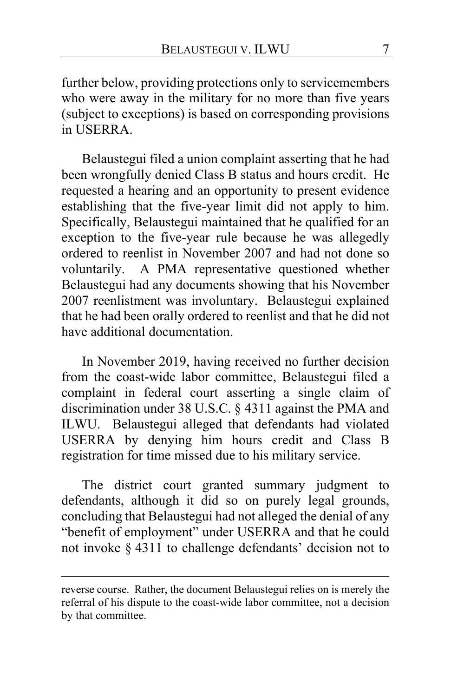further below, providing protections only to servicemembers who were away in the military for no more than five years (subject to exceptions) is based on corresponding provisions in USERRA.

Belaustegui filed a union complaint asserting that he had been wrongfully denied Class B status and hours credit. He requested a hearing and an opportunity to present evidence establishing that the five-year limit did not apply to him. Specifically, Belaustegui maintained that he qualified for an exception to the five-year rule because he was allegedly ordered to reenlist in November 2007 and had not done so voluntarily. A PMA representative questioned whether Belaustegui had any documents showing that his November 2007 reenlistment was involuntary. Belaustegui explained that he had been orally ordered to reenlist and that he did not have additional documentation.

In November 2019, having received no further decision from the coast-wide labor committee, Belaustegui filed a complaint in federal court asserting a single claim of discrimination under 38 U.S.C. § 4311 against the PMA and ILWU. Belaustegui alleged that defendants had violated USERRA by denying him hours credit and Class B registration for time missed due to his military service.

The district court granted summary judgment to defendants, although it did so on purely legal grounds, concluding that Belaustegui had not alleged the denial of any "benefit of employment" under USERRA and that he could not invoke § 4311 to challenge defendants' decision not to

reverse course. Rather, the document Belaustegui relies on is merely the referral of his dispute to the coast-wide labor committee, not a decision by that committee.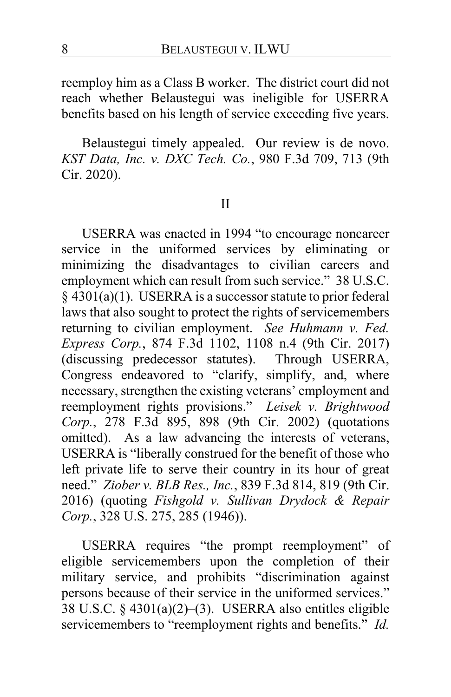reemploy him as a Class B worker. The district court did not reach whether Belaustegui was ineligible for USERRA benefits based on his length of service exceeding five years.

Belaustegui timely appealed. Our review is de novo. *KST Data, Inc. v. DXC Tech. Co.*, 980 F.3d 709, 713 (9th Cir. 2020).

## II

USERRA was enacted in 1994 "to encourage noncareer service in the uniformed services by eliminating or minimizing the disadvantages to civilian careers and employment which can result from such service." 38 U.S.C.  $§$  4301(a)(1). USERRA is a successor statute to prior federal laws that also sought to protect the rights of servicemembers returning to civilian employment. *See Huhmann v. Fed. Express Corp.*, 874 F.3d 1102, 1108 n.4 (9th Cir. 2017) (discussing predecessor statutes). Through USERRA, Congress endeavored to "clarify, simplify, and, where necessary, strengthen the existing veterans' employment and reemployment rights provisions." *Leisek v. Brightwood Corp.*, 278 F.3d 895, 898 (9th Cir. 2002) (quotations omitted). As a law advancing the interests of veterans, USERRA is "liberally construed for the benefit of those who left private life to serve their country in its hour of great need." *Ziober v. BLB Res., Inc.*, 839 F.3d 814, 819 (9th Cir. 2016) (quoting *Fishgold v. Sullivan Drydock & Repair Corp.*, 328 U.S. 275, 285 (1946)).

USERRA requires "the prompt reemployment" of eligible servicemembers upon the completion of their military service, and prohibits "discrimination against persons because of their service in the uniformed services." 38 U.S.C. § 4301(a)(2)–(3). USERRA also entitles eligible servicemembers to "reemployment rights and benefits." *Id.*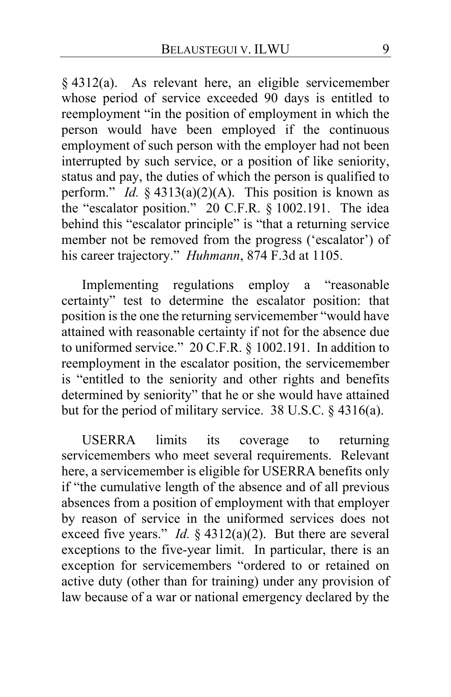§ 4312(a). As relevant here, an eligible servicemember whose period of service exceeded 90 days is entitled to reemployment "in the position of employment in which the person would have been employed if the continuous employment of such person with the employer had not been interrupted by such service, or a position of like seniority, status and pay, the duties of which the person is qualified to perform." *Id.* § 4313(a)(2)(A). This position is known as the "escalator position." 20 C.F.R. § 1002.191. The idea behind this "escalator principle" is "that a returning service member not be removed from the progress ('escalator') of his career trajectory." *Huhmann*, 874 F.3d at 1105.

Implementing regulations employ a "reasonable certainty" test to determine the escalator position: that position is the one the returning servicemember "would have attained with reasonable certainty if not for the absence due to uniformed service." 20 C.F.R. § 1002.191. In addition to reemployment in the escalator position, the servicemember is "entitled to the seniority and other rights and benefits determined by seniority" that he or she would have attained but for the period of military service. 38 U.S.C. § 4316(a).

USERRA limits its coverage to returning servicemembers who meet several requirements. Relevant here, a servicemember is eligible for USERRA benefits only if "the cumulative length of the absence and of all previous absences from a position of employment with that employer by reason of service in the uniformed services does not exceed five years." *Id.*  $\S$  4312(a)(2). But there are several exceptions to the five-year limit. In particular, there is an exception for servicemembers "ordered to or retained on active duty (other than for training) under any provision of law because of a war or national emergency declared by the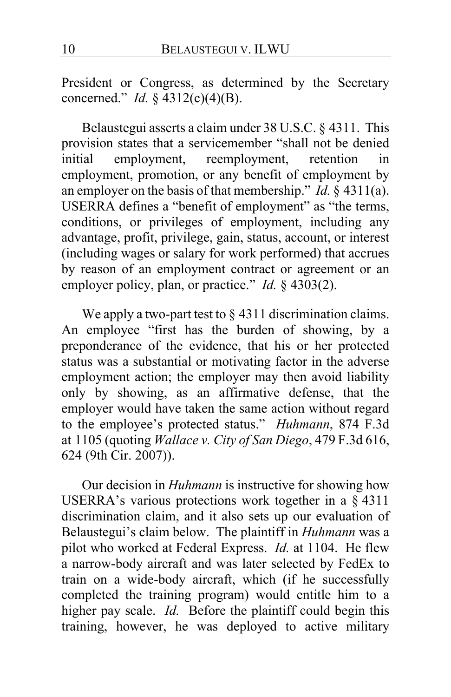President or Congress, as determined by the Secretary concerned." *Id.* § 4312(c)(4)(B).

Belaustegui asserts a claim under 38 U.S.C. § 4311. This provision states that a servicemember "shall not be denied initial employment, reemployment, retention in employment, promotion, or any benefit of employment by an employer on the basis of that membership." *Id.* § 4311(a). USERRA defines a "benefit of employment" as "the terms, conditions, or privileges of employment, including any advantage, profit, privilege, gain, status, account, or interest (including wages or salary for work performed) that accrues by reason of an employment contract or agreement or an employer policy, plan, or practice." *Id.* § 4303(2).

We apply a two-part test to § 4311 discrimination claims. An employee "first has the burden of showing, by a preponderance of the evidence, that his or her protected status was a substantial or motivating factor in the adverse employment action; the employer may then avoid liability only by showing, as an affirmative defense, that the employer would have taken the same action without regard to the employee's protected status." *Huhmann*, 874 F.3d at 1105 (quoting *Wallace v. City of San Diego*, 479 F.3d 616, 624 (9th Cir. 2007)).

Our decision in *Huhmann* is instructive for showing how USERRA's various protections work together in a § 4311 discrimination claim, and it also sets up our evaluation of Belaustegui's claim below. The plaintiff in *Huhmann* was a pilot who worked at Federal Express. *Id.* at 1104. He flew a narrow-body aircraft and was later selected by FedEx to train on a wide-body aircraft, which (if he successfully completed the training program) would entitle him to a higher pay scale. *Id.* Before the plaintiff could begin this training, however, he was deployed to active military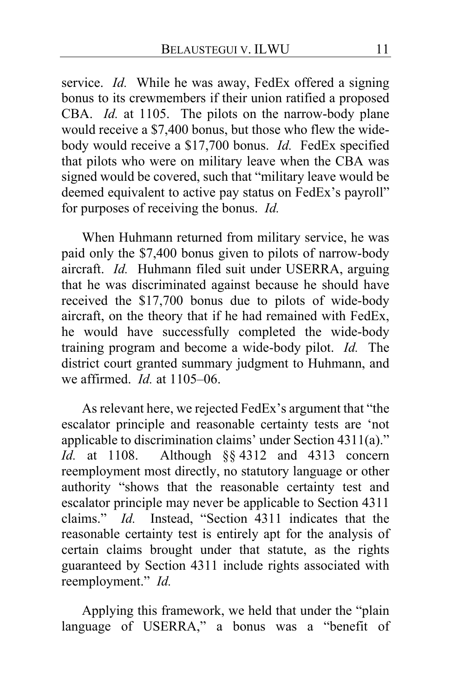service. *Id.* While he was away, FedEx offered a signing bonus to its crewmembers if their union ratified a proposed CBA. *Id.* at 1105. The pilots on the narrow-body plane would receive a \$7,400 bonus, but those who flew the widebody would receive a \$17,700 bonus. *Id.* FedEx specified that pilots who were on military leave when the CBA was signed would be covered, such that "military leave would be deemed equivalent to active pay status on FedEx's payroll" for purposes of receiving the bonus. *Id.*

When Huhmann returned from military service, he was paid only the \$7,400 bonus given to pilots of narrow-body aircraft. *Id.* Huhmann filed suit under USERRA, arguing that he was discriminated against because he should have received the \$17,700 bonus due to pilots of wide-body aircraft, on the theory that if he had remained with FedEx, he would have successfully completed the wide-body training program and become a wide-body pilot. *Id.* The district court granted summary judgment to Huhmann, and we affirmed. *Id.* at 1105–06.

As relevant here, we rejected FedEx's argument that "the escalator principle and reasonable certainty tests are 'not applicable to discrimination claims' under Section 4311(a)." *Id.* at 1108. Although §§ 4312 and 4313 concern reemployment most directly, no statutory language or other authority "shows that the reasonable certainty test and escalator principle may never be applicable to Section 4311 claims." *Id.* Instead, "Section 4311 indicates that the reasonable certainty test is entirely apt for the analysis of certain claims brought under that statute, as the rights guaranteed by Section 4311 include rights associated with reemployment." *Id.*

Applying this framework, we held that under the "plain language of USERRA," a bonus was a "benefit of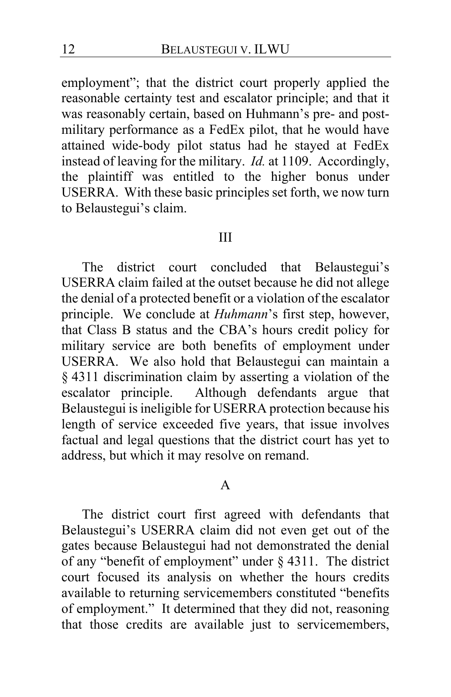employment"; that the district court properly applied the reasonable certainty test and escalator principle; and that it was reasonably certain, based on Huhmann's pre- and postmilitary performance as a FedEx pilot, that he would have attained wide-body pilot status had he stayed at FedEx instead of leaving for the military. *Id.* at 1109. Accordingly, the plaintiff was entitled to the higher bonus under USERRA. With these basic principles set forth, we now turn to Belaustegui's claim.

#### III

The district court concluded that Belaustegui's USERRA claim failed at the outset because he did not allege the denial of a protected benefit or a violation of the escalator principle. We conclude at *Huhmann*'s first step, however, that Class B status and the CBA's hours credit policy for military service are both benefits of employment under USERRA. We also hold that Belaustegui can maintain a § 4311 discrimination claim by asserting a violation of the escalator principle. Although defendants argue that Belaustegui is ineligible for USERRA protection because his length of service exceeded five years, that issue involves factual and legal questions that the district court has yet to address, but which it may resolve on remand.

#### A

The district court first agreed with defendants that Belaustegui's USERRA claim did not even get out of the gates because Belaustegui had not demonstrated the denial of any "benefit of employment" under § 4311. The district court focused its analysis on whether the hours credits available to returning servicemembers constituted "benefits of employment." It determined that they did not, reasoning that those credits are available just to servicemembers,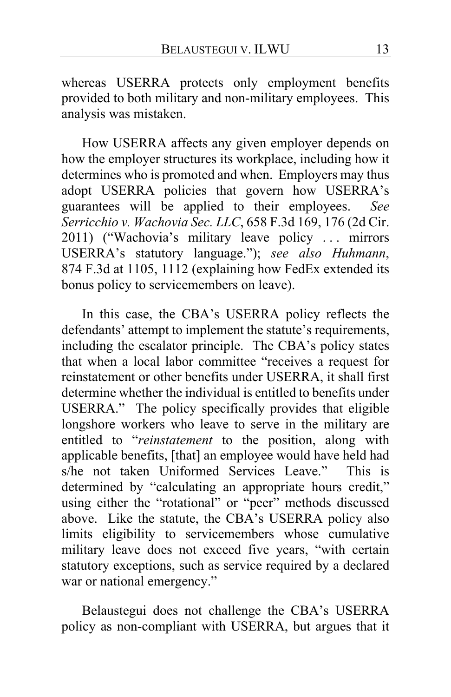whereas USERRA protects only employment benefits provided to both military and non-military employees. This analysis was mistaken.

How USERRA affects any given employer depends on how the employer structures its workplace, including how it determines who is promoted and when. Employers may thus adopt USERRA policies that govern how USERRA's guarantees will be applied to their employees. *See Serricchio v. Wachovia Sec. LLC*, 658 F.3d 169, 176 (2d Cir. 2011) ("Wachovia's military leave policy . . . mirrors USERRA's statutory language."); *see also Huhmann*, 874 F.3d at 1105, 1112 (explaining how FedEx extended its bonus policy to servicemembers on leave).

In this case, the CBA's USERRA policy reflects the defendants' attempt to implement the statute's requirements, including the escalator principle. The CBA's policy states that when a local labor committee "receives a request for reinstatement or other benefits under USERRA, it shall first determine whether the individual is entitled to benefits under USERRA." The policy specifically provides that eligible longshore workers who leave to serve in the military are entitled to "*reinstatement* to the position, along with applicable benefits, [that] an employee would have held had s/he not taken Uniformed Services Leave." This is determined by "calculating an appropriate hours credit," using either the "rotational" or "peer" methods discussed above. Like the statute, the CBA's USERRA policy also limits eligibility to servicemembers whose cumulative military leave does not exceed five years, "with certain statutory exceptions, such as service required by a declared war or national emergency."

Belaustegui does not challenge the CBA's USERRA policy as non-compliant with USERRA, but argues that it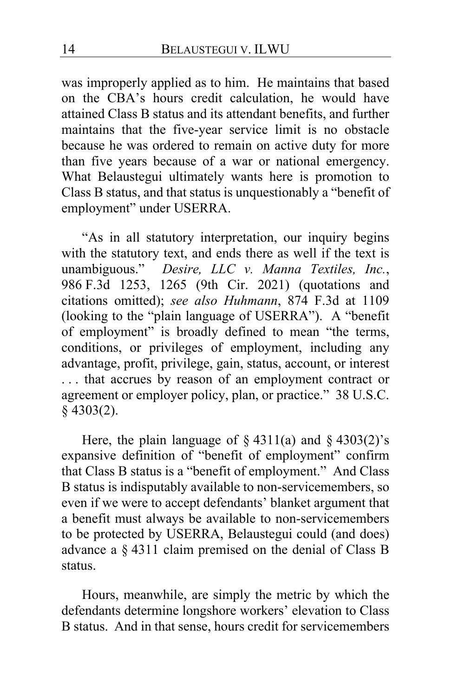was improperly applied as to him. He maintains that based on the CBA's hours credit calculation, he would have attained Class B status and its attendant benefits, and further maintains that the five-year service limit is no obstacle because he was ordered to remain on active duty for more than five years because of a war or national emergency. What Belaustegui ultimately wants here is promotion to Class B status, and that status is unquestionably a "benefit of employment" under USERRA.

"As in all statutory interpretation, our inquiry begins with the statutory text, and ends there as well if the text is unambiguous." *Desire, LLC v. Manna Textiles, Inc.*, 986 F.3d 1253, 1265 (9th Cir. 2021) (quotations and citations omitted); *see also Huhmann*, 874 F.3d at 1109 (looking to the "plain language of USERRA"). A "benefit of employment" is broadly defined to mean "the terms, conditions, or privileges of employment, including any advantage, profit, privilege, gain, status, account, or interest . . . that accrues by reason of an employment contract or agreement or employer policy, plan, or practice." 38 U.S.C. § 4303(2).

Here, the plain language of  $\S 4311(a)$  and  $\S 4303(2)'s$ expansive definition of "benefit of employment" confirm that Class B status is a "benefit of employment." And Class B status is indisputably available to non-servicemembers, so even if we were to accept defendants' blanket argument that a benefit must always be available to non-servicemembers to be protected by USERRA, Belaustegui could (and does) advance a § 4311 claim premised on the denial of Class B status.

Hours, meanwhile, are simply the metric by which the defendants determine longshore workers' elevation to Class B status. And in that sense, hours credit for servicemembers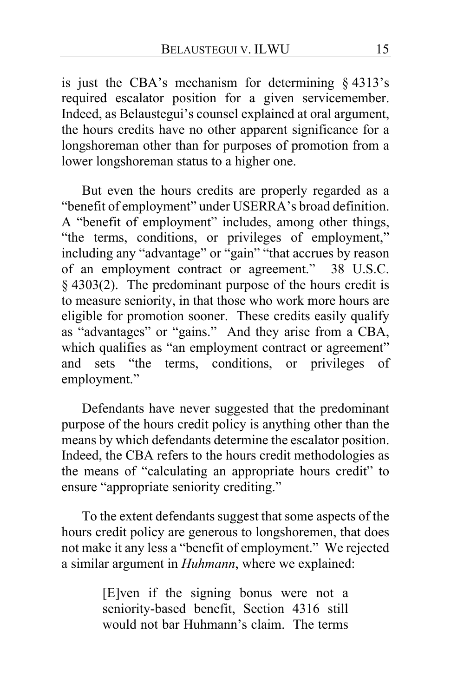is just the CBA's mechanism for determining § 4313's required escalator position for a given servicemember. Indeed, as Belaustegui's counsel explained at oral argument, the hours credits have no other apparent significance for a longshoreman other than for purposes of promotion from a lower longshoreman status to a higher one.

But even the hours credits are properly regarded as a "benefit of employment" under USERRA's broad definition. A "benefit of employment" includes, among other things, "the terms, conditions, or privileges of employment," including any "advantage" or "gain" "that accrues by reason of an employment contract or agreement." 38 U.S.C. § 4303(2). The predominant purpose of the hours credit is to measure seniority, in that those who work more hours are eligible for promotion sooner. These credits easily qualify as "advantages" or "gains." And they arise from a CBA, which qualifies as "an employment contract or agreement" and sets "the terms, conditions, or privileges of employment."

Defendants have never suggested that the predominant purpose of the hours credit policy is anything other than the means by which defendants determine the escalator position. Indeed, the CBA refers to the hours credit methodologies as the means of "calculating an appropriate hours credit" to ensure "appropriate seniority crediting."

To the extent defendants suggest that some aspects of the hours credit policy are generous to longshoremen, that does not make it any less a "benefit of employment." We rejected a similar argument in *Huhmann*, where we explained:

> [E]ven if the signing bonus were not a seniority-based benefit, Section 4316 still would not bar Huhmann's claim. The terms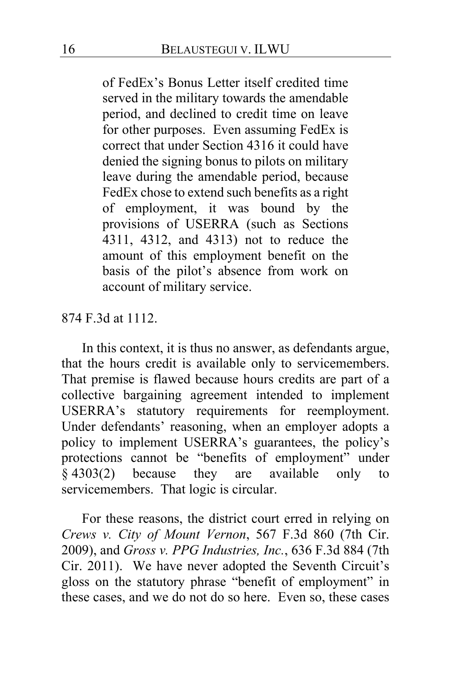of FedEx's Bonus Letter itself credited time served in the military towards the amendable period, and declined to credit time on leave for other purposes. Even assuming FedEx is correct that under Section 4316 it could have denied the signing bonus to pilots on military leave during the amendable period, because FedEx chose to extend such benefits as a right of employment, it was bound by the provisions of USERRA (such as Sections 4311, 4312, and 4313) not to reduce the amount of this employment benefit on the basis of the pilot's absence from work on account of military service.

874 F.3d at 1112.

In this context, it is thus no answer, as defendants argue, that the hours credit is available only to servicemembers. That premise is flawed because hours credits are part of a collective bargaining agreement intended to implement USERRA's statutory requirements for reemployment. Under defendants' reasoning, when an employer adopts a policy to implement USERRA's guarantees, the policy's protections cannot be "benefits of employment" under § 4303(2) because they are available only to servicemembers. That logic is circular.

For these reasons, the district court erred in relying on *Crews v. City of Mount Vernon*, 567 F.3d 860 (7th Cir. 2009), and *Gross v. PPG Industries, Inc.*, 636 F.3d 884 (7th Cir. 2011). We have never adopted the Seventh Circuit's gloss on the statutory phrase "benefit of employment" in these cases, and we do not do so here. Even so, these cases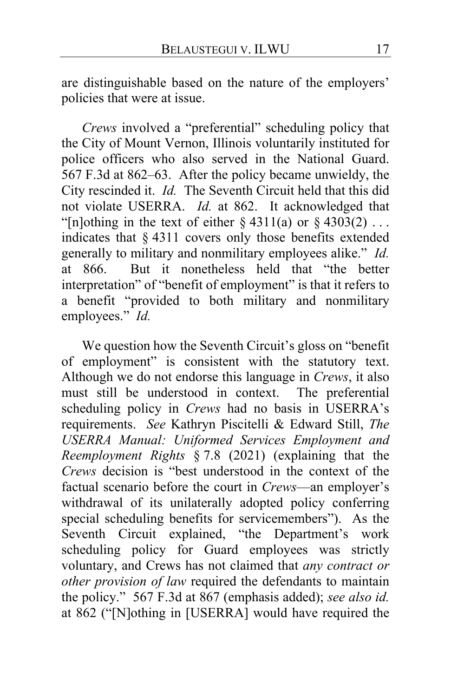are distinguishable based on the nature of the employers' policies that were at issue.

*Crews* involved a "preferential" scheduling policy that the City of Mount Vernon, Illinois voluntarily instituted for police officers who also served in the National Guard. 567 F.3d at 862–63. After the policy became unwieldy, the City rescinded it. *Id.* The Seventh Circuit held that this did not violate USERRA. *Id.* at 862. It acknowledged that "[n]othing in the text of either  $\S 4311(a)$  or  $\S 4303(2)$ ... indicates that § 4311 covers only those benefits extended generally to military and nonmilitary employees alike." *Id.*<br>at 866. But it nonetheless held that "the better But it nonetheless held that "the better interpretation" of "benefit of employment" is that it refers to a benefit "provided to both military and nonmilitary employees." *Id.*

We question how the Seventh Circuit's gloss on "benefit of employment" is consistent with the statutory text. Although we do not endorse this language in *Crews*, it also must still be understood in context. scheduling policy in *Crews* had no basis in USERRA's requirements. *See* Kathryn Piscitelli & Edward Still, *The USERRA Manual: Uniformed Services Employment and Reemployment Rights* § 7.8 (2021) (explaining that the *Crews* decision is "best understood in the context of the factual scenario before the court in *Crews*—an employer's withdrawal of its unilaterally adopted policy conferring special scheduling benefits for servicemembers"). As the Seventh Circuit explained, "the Department's work scheduling policy for Guard employees was strictly voluntary, and Crews has not claimed that *any contract or other provision of law* required the defendants to maintain the policy." 567 F.3d at 867 (emphasis added); *see also id.*  at 862 ("[N]othing in [USERRA] would have required the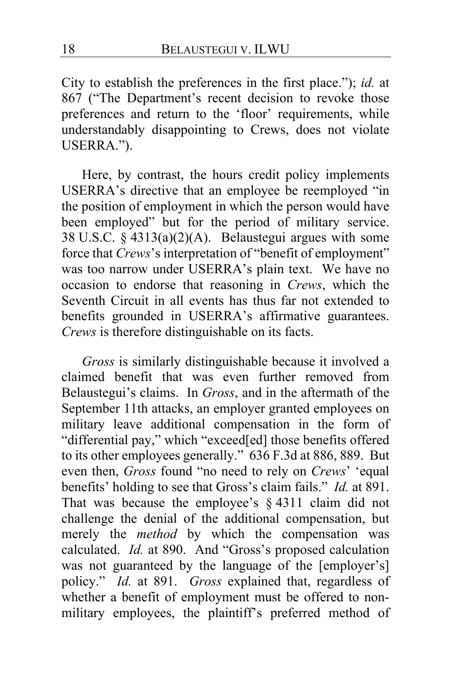City to establish the preferences in the first place."); *id.* at 867 ("The Department's recent decision to revoke those preferences and return to the 'floor' requirements, while understandably disappointing to Crews, does not violate USERRA.").

Here, by contrast, the hours credit policy implements USERRA's directive that an employee be reemployed "in the position of employment in which the person would have been employed" but for the period of military service. 38 U.S.C. § 4313(a)(2)(A). Belaustegui argues with some force that *Crews*'s interpretation of "benefit of employment" was too narrow under USERRA's plain text. We have no occasion to endorse that reasoning in *Crews*, which the Seventh Circuit in all events has thus far not extended to benefits grounded in USERRA's affirmative guarantees. *Crews* is therefore distinguishable on its facts.

*Gross* is similarly distinguishable because it involved a claimed benefit that was even further removed from Belaustegui's claims. In *Gross*, and in the aftermath of the September 11th attacks, an employer granted employees on military leave additional compensation in the form of "differential pay," which "exceed[ed] those benefits offered to its other employees generally." 636 F.3d at 886, 889. But even then, *Gross* found "no need to rely on *Crews*' 'equal benefits' holding to see that Gross's claim fails." *Id.* at 891. That was because the employee's § 4311 claim did not challenge the denial of the additional compensation, but merely the *method* by which the compensation was calculated. *Id.* at 890. And "Gross's proposed calculation was not guaranteed by the language of the [employer's] policy." *Id.* at 891. *Gross* explained that, regardless of whether a benefit of employment must be offered to nonmilitary employees, the plaintiff's preferred method of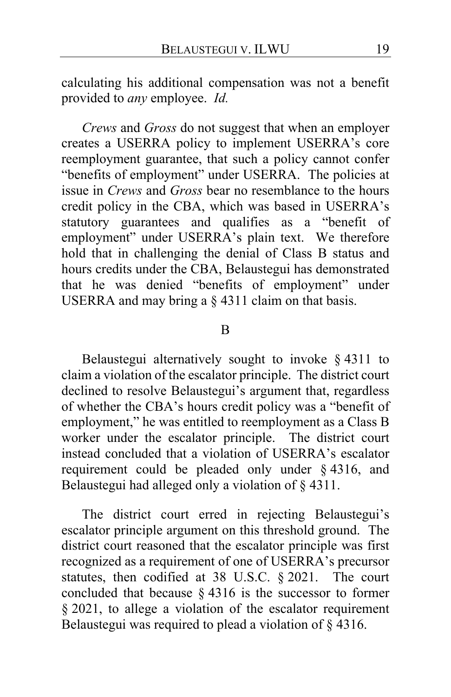calculating his additional compensation was not a benefit provided to *any* employee. *Id.*

*Crews* and *Gross* do not suggest that when an employer creates a USERRA policy to implement USERRA's core reemployment guarantee, that such a policy cannot confer "benefits of employment" under USERRA. The policies at issue in *Crews* and *Gross* bear no resemblance to the hours credit policy in the CBA, which was based in USERRA's statutory guarantees and qualifies as a "benefit of employment" under USERRA's plain text. We therefore hold that in challenging the denial of Class B status and hours credits under the CBA, Belaustegui has demonstrated that he was denied "benefits of employment" under USERRA and may bring a § 4311 claim on that basis.

#### B

Belaustegui alternatively sought to invoke § 4311 to claim a violation of the escalator principle. The district court declined to resolve Belaustegui's argument that, regardless of whether the CBA's hours credit policy was a "benefit of employment," he was entitled to reemployment as a Class B worker under the escalator principle. The district court instead concluded that a violation of USERRA's escalator requirement could be pleaded only under § 4316, and Belaustegui had alleged only a violation of § 4311.

The district court erred in rejecting Belaustegui's escalator principle argument on this threshold ground. The district court reasoned that the escalator principle was first recognized as a requirement of one of USERRA's precursor statutes, then codified at 38 U.S.C. § 2021. The court concluded that because § 4316 is the successor to former § 2021, to allege a violation of the escalator requirement Belaustegui was required to plead a violation of § 4316.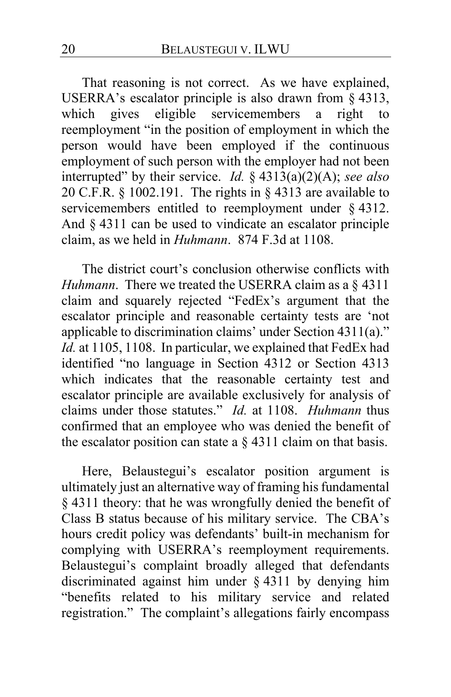That reasoning is not correct. As we have explained, USERRA's escalator principle is also drawn from  $\S$  4313, which gives eligible servicemembers a right to which gives eligible servicemembers a right to reemployment "in the position of employment in which the person would have been employed if the continuous employment of such person with the employer had not been interrupted" by their service. *Id.* § 4313(a)(2)(A); *see also* 20 C.F.R. § 1002.191. The rights in § 4313 are available to servicemembers entitled to reemployment under § 4312. And § 4311 can be used to vindicate an escalator principle claim, as we held in *Huhmann*. 874 F.3d at 1108.

The district court's conclusion otherwise conflicts with *Huhmann*. There we treated the USERRA claim as a § 4311 claim and squarely rejected "FedEx's argument that the escalator principle and reasonable certainty tests are 'not applicable to discrimination claims' under Section 4311(a)." *Id.* at 1105, 1108. In particular, we explained that FedEx had identified "no language in Section 4312 or Section 4313 which indicates that the reasonable certainty test and escalator principle are available exclusively for analysis of claims under those statutes." *Id.* at 1108. *Huhmann* thus confirmed that an employee who was denied the benefit of the escalator position can state a  $\S$  4311 claim on that basis.

Here, Belaustegui's escalator position argument is ultimately just an alternative way of framing his fundamental § 4311 theory: that he was wrongfully denied the benefit of Class B status because of his military service. The CBA's hours credit policy was defendants' built-in mechanism for complying with USERRA's reemployment requirements. Belaustegui's complaint broadly alleged that defendants discriminated against him under § 4311 by denying him "benefits related to his military service and related registration." The complaint's allegations fairly encompass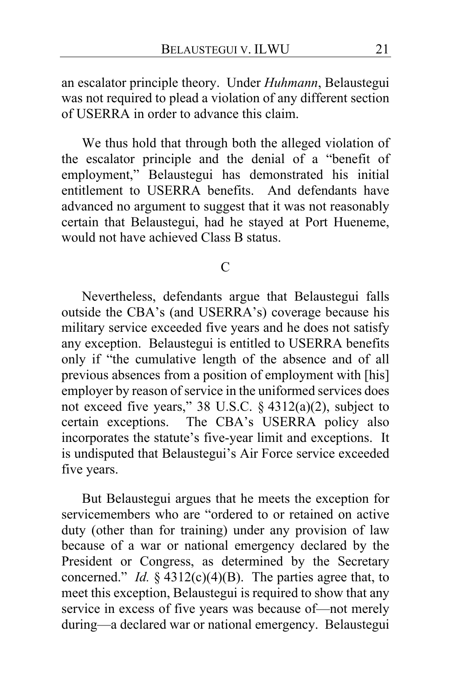an escalator principle theory. Under *Huhmann*, Belaustegui was not required to plead a violation of any different section of USERRA in order to advance this claim.

We thus hold that through both the alleged violation of the escalator principle and the denial of a "benefit of employment," Belaustegui has demonstrated his initial entitlement to USERRA benefits. And defendants have advanced no argument to suggest that it was not reasonably certain that Belaustegui, had he stayed at Port Hueneme, would not have achieved Class B status.

 $\mathcal{C}$ 

Nevertheless, defendants argue that Belaustegui falls outside the CBA's (and USERRA's) coverage because his military service exceeded five years and he does not satisfy any exception. Belaustegui is entitled to USERRA benefits only if "the cumulative length of the absence and of all previous absences from a position of employment with [his] employer by reason of service in the uniformed services does not exceed five years," 38 U.S.C. § 4312(a)(2), subject to certain exceptions. The CBA's USERRA policy also incorporates the statute's five-year limit and exceptions. It is undisputed that Belaustegui's Air Force service exceeded five years.

But Belaustegui argues that he meets the exception for servicemembers who are "ordered to or retained on active duty (other than for training) under any provision of law because of a war or national emergency declared by the President or Congress, as determined by the Secretary concerned." *Id.* § 4312(c)(4)(B). The parties agree that, to meet this exception, Belaustegui is required to show that any service in excess of five years was because of—not merely during—a declared war or national emergency. Belaustegui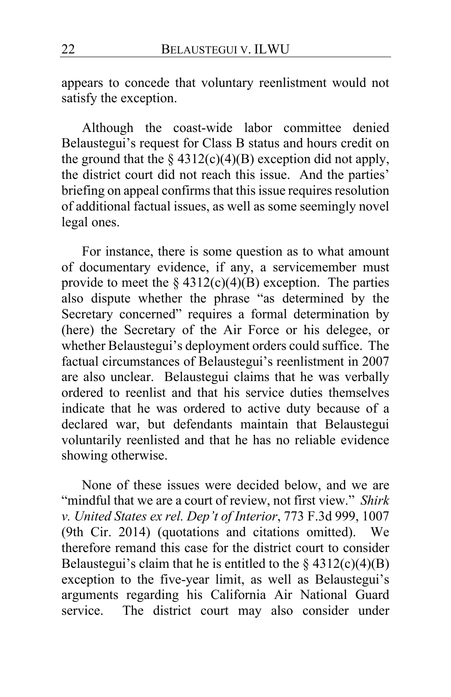appears to concede that voluntary reenlistment would not satisfy the exception.

Although the coast-wide labor committee denied Belaustegui's request for Class B status and hours credit on the ground that the  $\S$  4312(c)(4)(B) exception did not apply, the district court did not reach this issue. And the parties' briefing on appeal confirms that this issue requires resolution of additional factual issues, as well as some seemingly novel legal ones.

For instance, there is some question as to what amount of documentary evidence, if any, a servicemember must provide to meet the  $\S 4312(c)(4)(B)$  exception. The parties also dispute whether the phrase "as determined by the Secretary concerned" requires a formal determination by (here) the Secretary of the Air Force or his delegee, or whether Belaustegui's deployment orders could suffice. The factual circumstances of Belaustegui's reenlistment in 2007 are also unclear. Belaustegui claims that he was verbally ordered to reenlist and that his service duties themselves indicate that he was ordered to active duty because of a declared war, but defendants maintain that Belaustegui voluntarily reenlisted and that he has no reliable evidence showing otherwise.

None of these issues were decided below, and we are "mindful that we are a court of review, not first view." *Shirk v. United States ex rel. Dep't of Interior*, 773 F.3d 999, 1007 (9th Cir. 2014) (quotations and citations omitted). We therefore remand this case for the district court to consider Belaustegui's claim that he is entitled to the  $\S$  4312(c)(4)(B) exception to the five-year limit, as well as Belaustegui's arguments regarding his California Air National Guard service. The district court may also consider under